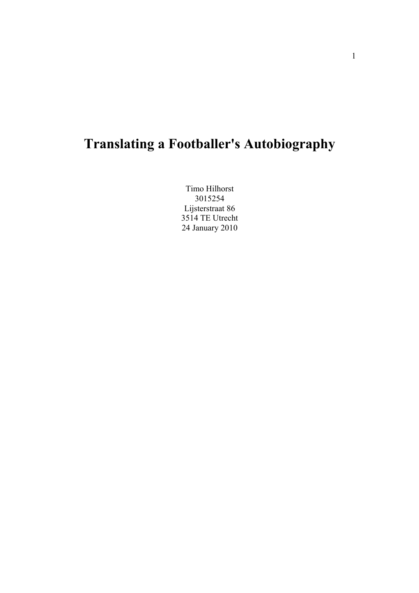# **Translating a Footballer's Autobiography**

Timo Hilhorst 3015254 Lijsterstraat 86 3514 TE Utrecht 24 January 2010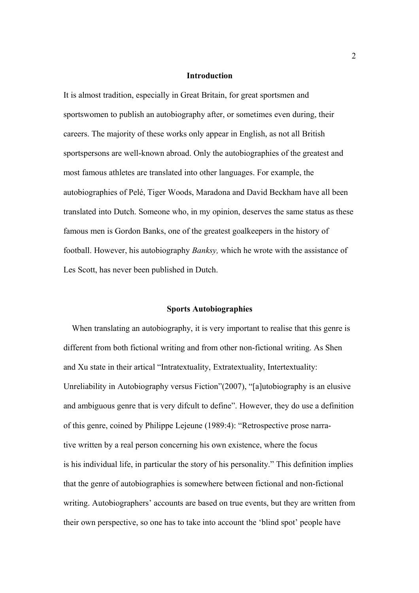### **Introduction**

It is almost tradition, especially in Great Britain, for great sportsmen and sportswomen to publish an autobiography after, or sometimes even during, their careers. The majority of these works only appear in English, as not all British sportspersons are well-known abroad. Only the autobiographies of the greatest and most famous athletes are translated into other languages. For example, the autobiographies of Pelé, Tiger Woods, Maradona and David Beckham have all been translated into Dutch. Someone who, in my opinion, deserves the same status as these famous men is Gordon Banks, one of the greatest goalkeepers in the history of football. However, his autobiography *Banksy,* which he wrote with the assistance of Les Scott, has never been published in Dutch.

#### **Sports Autobiographies**

 When translating an autobiography, it is very important to realise that this genre is different from both fictional writing and from other non-fictional writing. As Shen and Xu state in their artical "Intratextuality, Extratextuality, Intertextuality: Unreliability in Autobiography versus Fiction"(2007), "[a]utobiography is an elusive and ambiguous genre that is very difcult to define". However, they do use a definition of this genre, coined by Philippe Lejeune (1989:4): "Retrospective prose narrative written by a real person concerning his own existence, where the focus is his individual life, in particular the story of his personality." This definition implies that the genre of autobiographies is somewhere between fictional and non-fictional writing. Autobiographers' accounts are based on true events, but they are written from their own perspective, so one has to take into account the 'blind spot' people have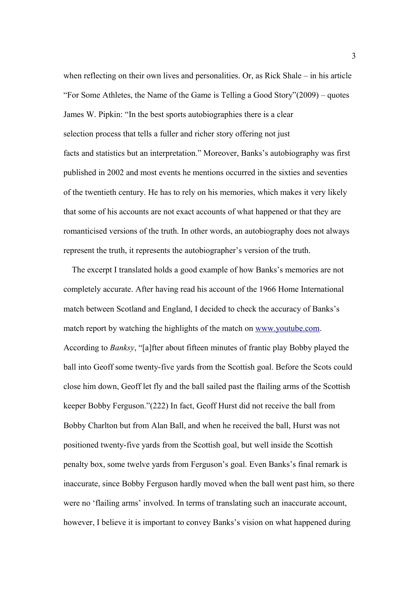when reflecting on their own lives and personalities. Or, as Rick Shale – in his article "For Some Athletes, the Name of the Game is Telling a Good Story"(2009) – quotes James W. Pipkin: "In the best sports autobiographies there is a clear selection process that tells a fuller and richer story offering not just facts and statistics but an interpretation." Moreover, Banks's autobiography was first published in 2002 and most events he mentions occurred in the sixties and seventies of the twentieth century. He has to rely on his memories, which makes it very likely that some of his accounts are not exact accounts of what happened or that they are romanticised versions of the truth. In other words, an autobiography does not always represent the truth, it represents the autobiographer's version of the truth.

 The excerpt I translated holds a good example of how Banks's memories are not completely accurate. After having read his account of the 1966 Home International match between Scotland and England, I decided to check the accuracy of Banks's match report by watching the highlights of the match on [www.youtube.com.](http://www.youtube.com/) According to *Banksy*, "[a]fter about fifteen minutes of frantic play Bobby played the ball into Geoff some twenty-five yards from the Scottish goal. Before the Scots could close him down, Geoff let fly and the ball sailed past the flailing arms of the Scottish keeper Bobby Ferguson."(222) In fact, Geoff Hurst did not receive the ball from Bobby Charlton but from Alan Ball, and when he received the ball, Hurst was not positioned twenty-five yards from the Scottish goal, but well inside the Scottish penalty box, some twelve yards from Ferguson's goal. Even Banks's final remark is inaccurate, since Bobby Ferguson hardly moved when the ball went past him, so there were no 'flailing arms' involved. In terms of translating such an inaccurate account, however, I believe it is important to convey Banks's vision on what happened during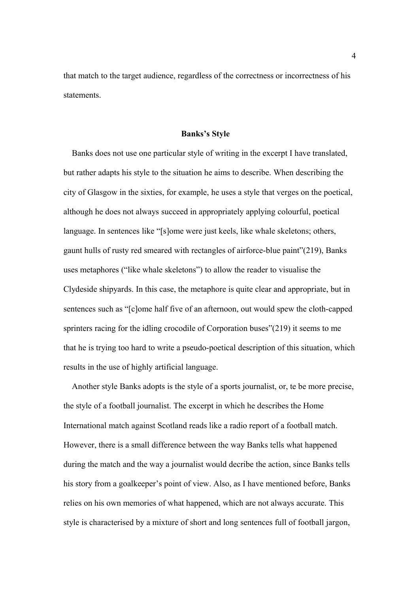that match to the target audience, regardless of the correctness or incorrectness of his statements.

#### **Banks's Style**

 Banks does not use one particular style of writing in the excerpt I have translated, but rather adapts his style to the situation he aims to describe. When describing the city of Glasgow in the sixties, for example, he uses a style that verges on the poetical, although he does not always succeed in appropriately applying colourful, poetical language. In sentences like "[s]ome were just keels, like whale skeletons; others, gaunt hulls of rusty red smeared with rectangles of airforce-blue paint"(219), Banks uses metaphores ("like whale skeletons") to allow the reader to visualise the Clydeside shipyards. In this case, the metaphore is quite clear and appropriate, but in sentences such as "[c]ome half five of an afternoon, out would spew the cloth-capped sprinters racing for the idling crocodile of Corporation buses"(219) it seems to me that he is trying too hard to write a pseudo-poetical description of this situation, which results in the use of highly artificial language.

 Another style Banks adopts is the style of a sports journalist, or, te be more precise, the style of a football journalist. The excerpt in which he describes the Home International match against Scotland reads like a radio report of a football match. However, there is a small difference between the way Banks tells what happened during the match and the way a journalist would decribe the action, since Banks tells his story from a goalkeeper's point of view. Also, as I have mentioned before, Banks relies on his own memories of what happened, which are not always accurate. This style is characterised by a mixture of short and long sentences full of football jargon,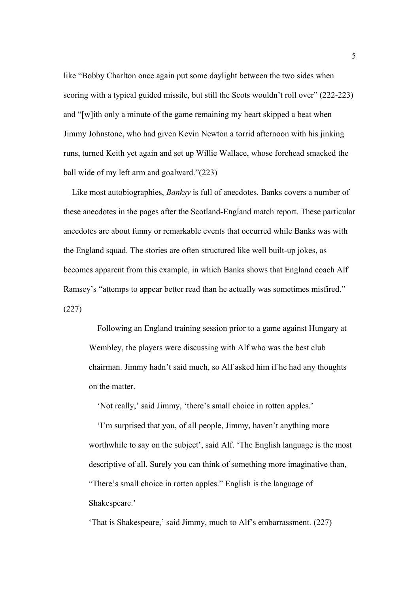like "Bobby Charlton once again put some daylight between the two sides when scoring with a typical guided missile, but still the Scots wouldn't roll over" (222-223) and "[w]ith only a minute of the game remaining my heart skipped a beat when Jimmy Johnstone, who had given Kevin Newton a torrid afternoon with his jinking runs, turned Keith yet again and set up Willie Wallace, whose forehead smacked the ball wide of my left arm and goalward."(223)

 Like most autobiographies, *Banksy* is full of anecdotes. Banks covers a number of these anecdotes in the pages after the Scotland-England match report. These particular anecdotes are about funny or remarkable events that occurred while Banks was with the England squad. The stories are often structured like well built-up jokes, as becomes apparent from this example, in which Banks shows that England coach Alf Ramsey's "attemps to appear better read than he actually was sometimes misfired." (227)

 Following an England training session prior to a game against Hungary at Wembley, the players were discussing with Alf who was the best club chairman. Jimmy hadn't said much, so Alf asked him if he had any thoughts on the matter.

'Not really,' said Jimmy, 'there's small choice in rotten apples.'

 'I'm surprised that you, of all people, Jimmy, haven't anything more worthwhile to say on the subject', said Alf. 'The English language is the most descriptive of all. Surely you can think of something more imaginative than, "There's small choice in rotten apples." English is the language of Shakespeare.'

'That is Shakespeare,' said Jimmy, much to Alf's embarrassment. (227)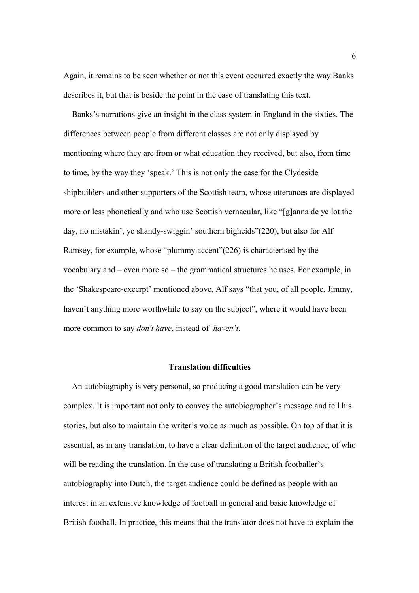Again, it remains to be seen whether or not this event occurred exactly the way Banks describes it, but that is beside the point in the case of translating this text.

 Banks's narrations give an insight in the class system in England in the sixties. The differences between people from different classes are not only displayed by mentioning where they are from or what education they received, but also, from time to time, by the way they 'speak.' This is not only the case for the Clydeside shipbuilders and other supporters of the Scottish team, whose utterances are displayed more or less phonetically and who use Scottish vernacular, like "[g]anna de ye lot the day, no mistakin', ye shandy-swiggin' southern bigheids"(220), but also for Alf Ramsey, for example, whose "plummy accent"(226) is characterised by the vocabulary and – even more so – the grammatical structures he uses. For example, in the 'Shakespeare-excerpt' mentioned above, Alf says "that you, of all people, Jimmy, haven't anything more worthwhile to say on the subject", where it would have been more common to say *don't have*, instead of *haven't*.

# **Translation difficulties**

 An autobiography is very personal, so producing a good translation can be very complex. It is important not only to convey the autobiographer's message and tell his stories, but also to maintain the writer's voice as much as possible. On top of that it is essential, as in any translation, to have a clear definition of the target audience, of who will be reading the translation. In the case of translating a British footballer's autobiography into Dutch, the target audience could be defined as people with an interest in an extensive knowledge of football in general and basic knowledge of British football. In practice, this means that the translator does not have to explain the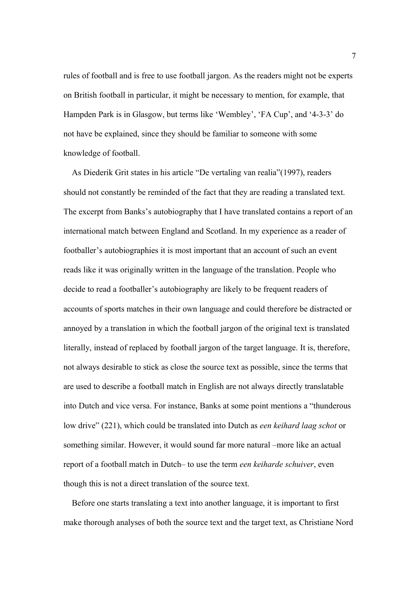rules of football and is free to use football jargon. As the readers might not be experts on British football in particular, it might be necessary to mention, for example, that Hampden Park is in Glasgow, but terms like 'Wembley', 'FA Cup', and '4-3-3' do not have be explained, since they should be familiar to someone with some knowledge of football.

 As Diederik Grit states in his article "De vertaling van realia"(1997), readers should not constantly be reminded of the fact that they are reading a translated text. The excerpt from Banks's autobiography that I have translated contains a report of an international match between England and Scotland. In my experience as a reader of footballer's autobiographies it is most important that an account of such an event reads like it was originally written in the language of the translation. People who decide to read a footballer's autobiography are likely to be frequent readers of accounts of sports matches in their own language and could therefore be distracted or annoyed by a translation in which the football jargon of the original text is translated literally, instead of replaced by football jargon of the target language. It is, therefore, not always desirable to stick as close the source text as possible, since the terms that are used to describe a football match in English are not always directly translatable into Dutch and vice versa. For instance, Banks at some point mentions a "thunderous low drive" (221), which could be translated into Dutch as *een keihard laag schot* or something similar. However, it would sound far more natural –more like an actual report of a football match in Dutch– to use the term *een keiharde schuiver*, even though this is not a direct translation of the source text.

 Before one starts translating a text into another language, it is important to first make thorough analyses of both the source text and the target text, as Christiane Nord

7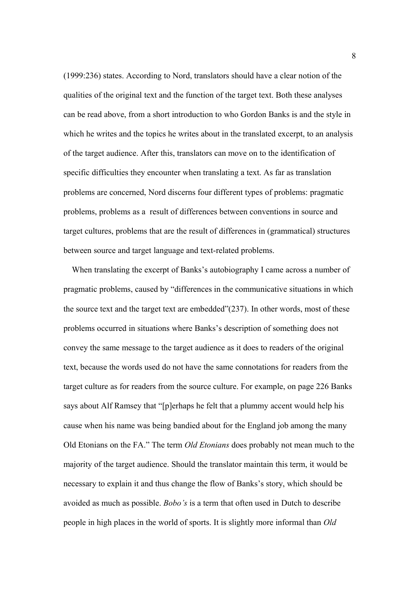(1999:236) states. According to Nord, translators should have a clear notion of the qualities of the original text and the function of the target text. Both these analyses can be read above, from a short introduction to who Gordon Banks is and the style in which he writes and the topics he writes about in the translated excerpt, to an analysis of the target audience. After this, translators can move on to the identification of specific difficulties they encounter when translating a text. As far as translation problems are concerned, Nord discerns four different types of problems: pragmatic problems, problems as a result of differences between conventions in source and target cultures, problems that are the result of differences in (grammatical) structures between source and target language and text-related problems.

 When translating the excerpt of Banks's autobiography I came across a number of pragmatic problems, caused by "differences in the communicative situations in which the source text and the target text are embedded"(237). In other words, most of these problems occurred in situations where Banks's description of something does not convey the same message to the target audience as it does to readers of the original text, because the words used do not have the same connotations for readers from the target culture as for readers from the source culture. For example, on page 226 Banks says about Alf Ramsey that "[p]erhaps he felt that a plummy accent would help his cause when his name was being bandied about for the England job among the many Old Etonians on the FA." The term *Old Etonians* does probably not mean much to the majority of the target audience. Should the translator maintain this term, it would be necessary to explain it and thus change the flow of Banks's story, which should be avoided as much as possible. *Bobo's* is a term that often used in Dutch to describe people in high places in the world of sports. It is slightly more informal than *Old*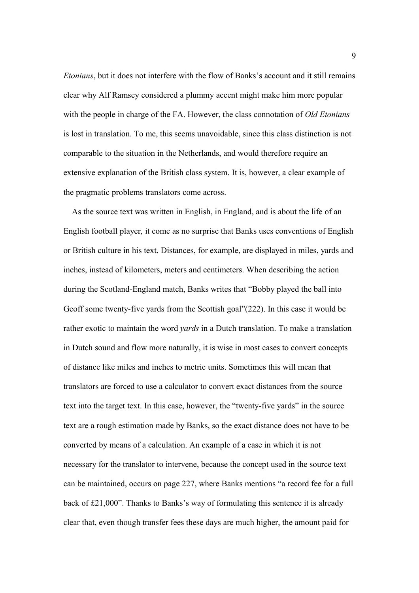*Etonians*, but it does not interfere with the flow of Banks's account and it still remains clear why Alf Ramsey considered a plummy accent might make him more popular with the people in charge of the FA. However, the class connotation of *Old Etonians* is lost in translation. To me, this seems unavoidable, since this class distinction is not comparable to the situation in the Netherlands, and would therefore require an extensive explanation of the British class system. It is, however, a clear example of the pragmatic problems translators come across.

 As the source text was written in English, in England, and is about the life of an English football player, it come as no surprise that Banks uses conventions of English or British culture in his text. Distances, for example, are displayed in miles, yards and inches, instead of kilometers, meters and centimeters. When describing the action during the Scotland-England match, Banks writes that "Bobby played the ball into Geoff some twenty-five yards from the Scottish goal"(222). In this case it would be rather exotic to maintain the word *yards* in a Dutch translation. To make a translation in Dutch sound and flow more naturally, it is wise in most cases to convert concepts of distance like miles and inches to metric units. Sometimes this will mean that translators are forced to use a calculator to convert exact distances from the source text into the target text. In this case, however, the "twenty-five yards" in the source text are a rough estimation made by Banks, so the exact distance does not have to be converted by means of a calculation. An example of a case in which it is not necessary for the translator to intervene, because the concept used in the source text can be maintained, occurs on page 227, where Banks mentions "a record fee for a full back of £21,000". Thanks to Banks's way of formulating this sentence it is already clear that, even though transfer fees these days are much higher, the amount paid for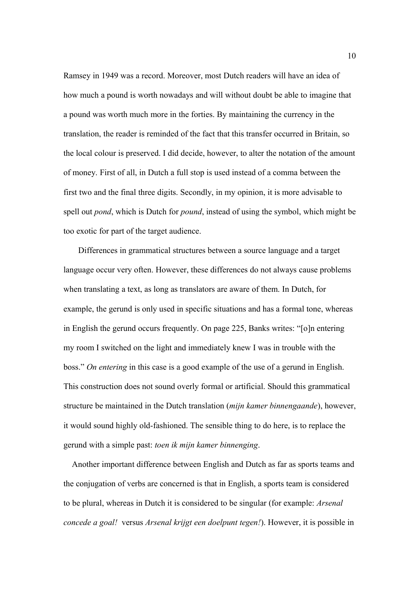Ramsey in 1949 was a record. Moreover, most Dutch readers will have an idea of how much a pound is worth nowadays and will without doubt be able to imagine that a pound was worth much more in the forties. By maintaining the currency in the translation, the reader is reminded of the fact that this transfer occurred in Britain, so the local colour is preserved. I did decide, however, to alter the notation of the amount of money. First of all, in Dutch a full stop is used instead of a comma between the first two and the final three digits. Secondly, in my opinion, it is more advisable to spell out *pond*, which is Dutch for *pound*, instead of using the symbol, which might be too exotic for part of the target audience.

 Differences in grammatical structures between a source language and a target language occur very often. However, these differences do not always cause problems when translating a text, as long as translators are aware of them. In Dutch, for example, the gerund is only used in specific situations and has a formal tone, whereas in English the gerund occurs frequently. On page 225, Banks writes: "[o]n entering my room I switched on the light and immediately knew I was in trouble with the boss." *On entering* in this case is a good example of the use of a gerund in English. This construction does not sound overly formal or artificial. Should this grammatical structure be maintained in the Dutch translation (*mijn kamer binnengaande*), however, it would sound highly old-fashioned. The sensible thing to do here, is to replace the gerund with a simple past: *toen ik mijn kamer binnenging*.

 Another important difference between English and Dutch as far as sports teams and the conjugation of verbs are concerned is that in English, a sports team is considered to be plural, whereas in Dutch it is considered to be singular (for example: *Arsenal concede a goal!* versus *Arsenal krijgt een doelpunt tegen!*). However, it is possible in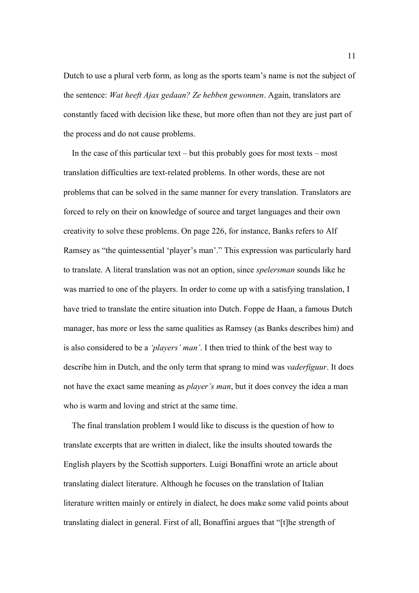Dutch to use a plural verb form, as long as the sports team's name is not the subject of the sentence: *Wat heeft Ajax gedaan? Ze hebben gewonnen*. Again, translators are constantly faced with decision like these, but more often than not they are just part of the process and do not cause problems.

In the case of this particular text – but this probably goes for most texts – most translation difficulties are text-related problems. In other words, these are not problems that can be solved in the same manner for every translation. Translators are forced to rely on their on knowledge of source and target languages and their own creativity to solve these problems. On page 226, for instance, Banks refers to Alf Ramsey as "the quintessential 'player's man'." This expression was particularly hard to translate. A literal translation was not an option, since *spelersman* sounds like he was married to one of the players. In order to come up with a satisfying translation, I have tried to translate the entire situation into Dutch. Foppe de Haan, a famous Dutch manager, has more or less the same qualities as Ramsey (as Banks describes him) and is also considered to be a *'players' man'*. I then tried to think of the best way to describe him in Dutch, and the only term that sprang to mind was *vaderfiguur*. It does not have the exact same meaning as *player's man*, but it does convey the idea a man who is warm and loving and strict at the same time.

 The final translation problem I would like to discuss is the question of how to translate excerpts that are written in dialect, like the insults shouted towards the English players by the Scottish supporters. Luigi Bonaffini wrote an article about translating dialect literature. Although he focuses on the translation of Italian literature written mainly or entirely in dialect, he does make some valid points about translating dialect in general. First of all, Bonaffini argues that "[t]he strength of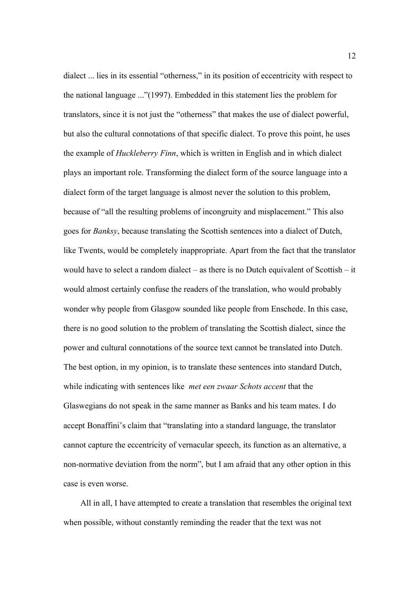dialect ... lies in its essential "otherness," in its position of eccentricity with respect to the national language ..."(1997). Embedded in this statement lies the problem for translators, since it is not just the "otherness" that makes the use of dialect powerful, but also the cultural connotations of that specific dialect. To prove this point, he uses the example of *Huckleberry Finn*, which is written in English and in which dialect plays an important role. Transforming the dialect form of the source language into a dialect form of the target language is almost never the solution to this problem, because of "all the resulting problems of incongruity and misplacement." This also goes for *Banksy*, because translating the Scottish sentences into a dialect of Dutch, like Twents, would be completely inappropriate. Apart from the fact that the translator would have to select a random dialect – as there is no Dutch equivalent of Scottish – it would almost certainly confuse the readers of the translation, who would probably wonder why people from Glasgow sounded like people from Enschede. In this case, there is no good solution to the problem of translating the Scottish dialect, since the power and cultural connotations of the source text cannot be translated into Dutch. The best option, in my opinion, is to translate these sentences into standard Dutch, while indicating with sentences like *met een zwaar Schots accent* that the Glaswegians do not speak in the same manner as Banks and his team mates. I do accept Bonaffini's claim that "translating into a standard language, the translator cannot capture the eccentricity of vernacular speech, its function as an alternative, a non-normative deviation from the norm", but I am afraid that any other option in this case is even worse.

 All in all, I have attempted to create a translation that resembles the original text when possible, without constantly reminding the reader that the text was not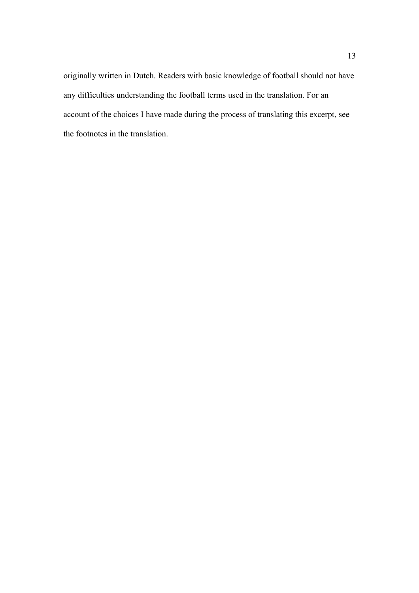originally written in Dutch. Readers with basic knowledge of football should not have any difficulties understanding the football terms used in the translation. For an account of the choices I have made during the process of translating this excerpt, see the footnotes in the translation.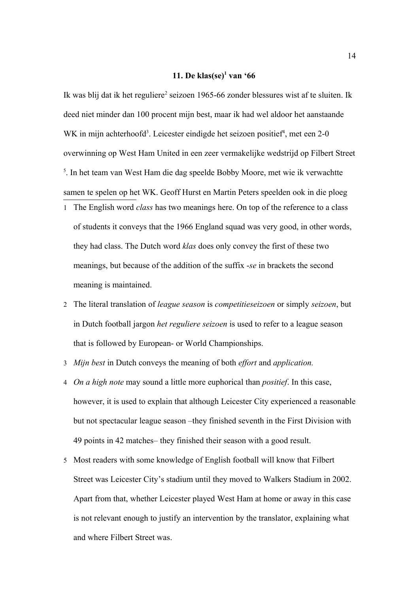# **11. De klas(se)[1](#page-13-0) van '66**

Ik was blij dat ik het reguliere<sup>[2](#page-13-1)</sup> seizoen 1965-66 zonder blessures wist af te sluiten. Ik deed niet minder dan 100 procent mijn best, maar ik had wel aldoor het aanstaande WK in mijn achterhoofd<sup>[3](#page-13-2)</sup>. Leicester eindigde het seizoen positief<sup>[4](#page-13-3)</sup>, met een 2-0 overwinning op West Ham United in een zeer vermakelijke wedstrijd op Filbert Street <sup>[5](#page-13-4)</sup>. In het team van West Ham die dag speelde Bobby Moore, met wie ik verwachtte samen te spelen op het WK. Geoff Hurst en Martin Peters speelden ook in die ploeg

- <span id="page-13-0"></span>1 The English word *class* has two meanings here. On top of the reference to a class of students it conveys that the 1966 England squad was very good, in other words, they had class. The Dutch word *klas* does only convey the first of these two meanings, but because of the addition of the suffix -*se* in brackets the second meaning is maintained.
- <span id="page-13-1"></span>2 The literal translation of *league season* is *competitieseizoen* or simply *seizoen*, but in Dutch football jargon *het reguliere seizoen* is used to refer to a league season that is followed by European- or World Championships.
- <span id="page-13-2"></span>3 *Mijn best* in Dutch conveys the meaning of both *effort* and *application.*
- <span id="page-13-3"></span>4 *On a high note* may sound a little more euphorical than *positief*. In this case, however, it is used to explain that although Leicester City experienced a reasonable but not spectacular league season –they finished seventh in the First Division with 49 points in 42 matches– they finished their season with a good result.
- <span id="page-13-4"></span>5 Most readers with some knowledge of English football will know that Filbert Street was Leicester City's stadium until they moved to Walkers Stadium in 2002. Apart from that, whether Leicester played West Ham at home or away in this case is not relevant enough to justify an intervention by the translator, explaining what and where Filbert Street was.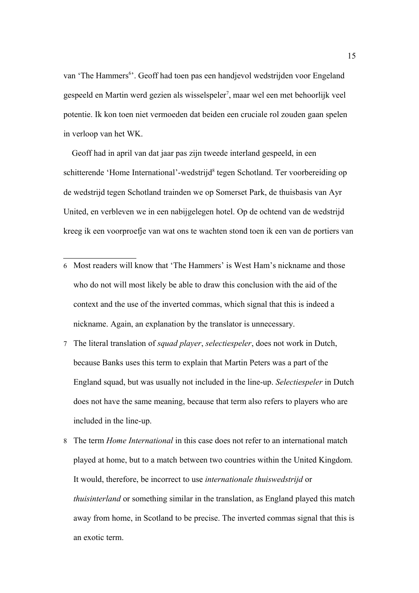van 'The Hammers<sup>[6](#page-14-0)</sup>'. Geoff had toen pas een handjevol wedstrijden voor Engeland gespeeld en Martin werd gezien als wisselspeler<sup>[7](#page-14-1)</sup>, maar wel een met behoorlijk veel potentie. Ik kon toen niet vermoeden dat beiden een cruciale rol zouden gaan spelen in verloop van het WK.

 Geoff had in april van dat jaar pas zijn tweede interland gespeeld, in een schitterende 'Home International'-wedstrijd<sup>[8](#page-14-2)</sup> tegen Schotland. Ter voorbereiding op de wedstrijd tegen Schotland trainden we op Somerset Park, de thuisbasis van Ayr United, en verbleven we in een nabijgelegen hotel. Op de ochtend van de wedstrijd kreeg ik een voorproefje van wat ons te wachten stond toen ik een van de portiers van

- <span id="page-14-0"></span>6 Most readers will know that 'The Hammers' is West Ham's nickname and those who do not will most likely be able to draw this conclusion with the aid of the context and the use of the inverted commas, which signal that this is indeed a nickname. Again, an explanation by the translator is unnecessary.
- <span id="page-14-1"></span>7 The literal translation of *squad player*, *selectiespeler*, does not work in Dutch, because Banks uses this term to explain that Martin Peters was a part of the England squad, but was usually not included in the line-up. *Selectiespeler* in Dutch does not have the same meaning, because that term also refers to players who are included in the line-up.
- <span id="page-14-2"></span>8 The term *Home International* in this case does not refer to an international match played at home, but to a match between two countries within the United Kingdom. It would, therefore, be incorrect to use *internationale thuiswedstrijd* or *thuisinterland* or something similar in the translation, as England played this match away from home, in Scotland to be precise. The inverted commas signal that this is an exotic term.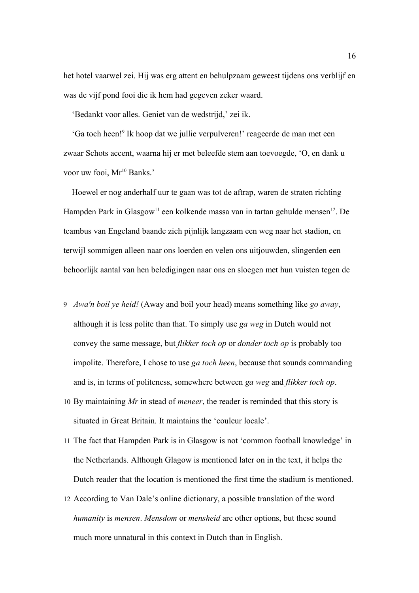het hotel vaarwel zei. Hij was erg attent en behulpzaam geweest tijdens ons verblijf en was de vijf pond fooi die ik hem had gegeven zeker waard.

'Bedankt voor alles. Geniet van de wedstrijd,' zei ik.

 'Ga toch heen![9](#page-15-0) Ik hoop dat we jullie verpulveren!' reageerde de man met een zwaar Schots accent, waarna hij er met beleefde stem aan toevoegde, 'O, en dank u voor uw fooi, Mr<sup>[10](#page-15-1)</sup> Banks.'

 Hoewel er nog anderhalf uur te gaan was tot de aftrap, waren de straten richting Hampden Park in Glasgow<sup>[11](#page-15-2)</sup> een kolkende massa van in tartan gehulde mensen<sup>[12](#page-15-3)</sup>. De teambus van Engeland baande zich pijnlijk langzaam een weg naar het stadion, en terwijl sommigen alleen naar ons loerden en velen ons uitjouwden, slingerden een behoorlijk aantal van hen beledigingen naar ons en sloegen met hun vuisten tegen de

- <span id="page-15-0"></span>9 *Awa'n boil ye heid!* (Away and boil your head) means something like *go away*, although it is less polite than that. To simply use *ga weg* in Dutch would not convey the same message, but *flikker toch op* or *donder toch op* is probably too impolite. Therefore, I chose to use *ga toch heen*, because that sounds commanding and is, in terms of politeness, somewhere between *ga weg* and *flikker toch op*.
- <span id="page-15-1"></span>10 By maintaining *Mr* in stead of *meneer*, the reader is reminded that this story is situated in Great Britain. It maintains the 'couleur locale'.
- <span id="page-15-2"></span>11 The fact that Hampden Park is in Glasgow is not 'common football knowledge' in the Netherlands. Although Glagow is mentioned later on in the text, it helps the Dutch reader that the location is mentioned the first time the stadium is mentioned.
- <span id="page-15-3"></span>12 According to Van Dale's online dictionary, a possible translation of the word *humanity* is *mensen*. *Mensdom* or *mensheid* are other options, but these sound much more unnatural in this context in Dutch than in English.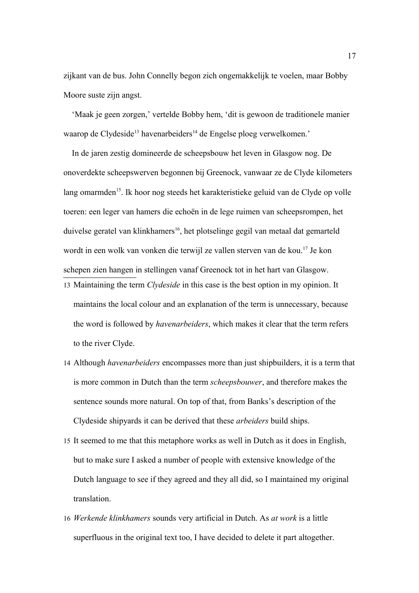zijkant van de bus. John Connelly begon zich ongemakkelijk te voelen, maar Bobby Moore suste zijn angst.

 'Maak je geen zorgen,' vertelde Bobby hem, 'dit is gewoon de traditionele manier waarop de Clydeside<sup>[13](#page-16-0)</sup> havenarbeiders<sup>[14](#page-16-1)</sup> de Engelse ploeg verwelkomen.'

 In de jaren zestig domineerde de scheepsbouw het leven in Glasgow nog. De onoverdekte scheepswerven begonnen bij Greenock, vanwaar ze de Clyde kilometers lang omarmden<sup>[15](#page-16-2)</sup>. Ik hoor nog steeds het karakteristieke geluid van de Clyde op volle toeren: een leger van hamers die echoën in de lege ruimen van scheepsrompen, het duivelse geratel van klinkhamers<sup>[16](#page-16-3)</sup>, het plotselinge gegil van metaal dat gemarteld wordt in een wolk van vonken die terwijl ze vallen sterven van de kou.[17](#page-17-0) Je kon schepen zien hangen in stellingen vanaf Greenock tot in het hart van Glasgow.

- <span id="page-16-0"></span>13 Maintaining the term *Clydeside* in this case is the best option in my opinion. It maintains the local colour and an explanation of the term is unnecessary, because the word is followed by *havenarbeiders*, which makes it clear that the term refers to the river Clyde.
- <span id="page-16-1"></span>14 Although *havenarbeiders* encompasses more than just shipbuilders, it is a term that is more common in Dutch than the term *scheepsbouwer*, and therefore makes the sentence sounds more natural. On top of that, from Banks's description of the Clydeside shipyards it can be derived that these *arbeiders* build ships.
- <span id="page-16-2"></span>15 It seemed to me that this metaphore works as well in Dutch as it does in English, but to make sure I asked a number of people with extensive knowledge of the Dutch language to see if they agreed and they all did, so I maintained my original translation.
- <span id="page-16-3"></span>16 *Werkende klinkhamers* sounds very artificial in Dutch. As *at work* is a little superfluous in the original text too, I have decided to delete it part altogether.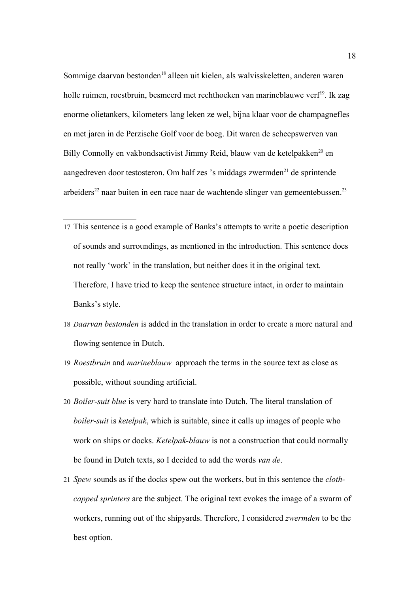Sommige daarvan bestonden<sup>[18](#page-17-1)</sup> alleen uit kielen, als walvisskeletten, anderen waren holle ruimen, roestbruin, besmeerd met rechthoeken van marineblauwe verf<sup>[19](#page-17-2)</sup>. Ik zag enorme olietankers, kilometers lang leken ze wel, bijna klaar voor de champagnefles en met jaren in de Perzische Golf voor de boeg. Dit waren de scheepswerven van Billy Connolly en vakbondsactivist Jimmy Reid, blauw van de ketelpakken<sup>[20](#page-17-3)</sup> en aangedreven door testosteron. Om half zes 's middags zwermden<sup>[21](#page-17-4)</sup> de sprintende arbeiders<sup>[22](#page-18-0)</sup> naar buiten in een race naar de wachtende slinger van gemeentebussen.<sup>[23](#page-18-1)</sup>

- <span id="page-17-0"></span>17 This sentence is a good example of Banks's attempts to write a poetic description of sounds and surroundings, as mentioned in the introduction. This sentence does not really 'work' in the translation, but neither does it in the original text. Therefore, I have tried to keep the sentence structure intact, in order to maintain Banks's style.
- <span id="page-17-1"></span>18 *Daarvan bestonden* is added in the translation in order to create a more natural and flowing sentence in Dutch.
- <span id="page-17-2"></span>19 *Roestbruin* and *marineblauw* approach the terms in the source text as close as possible, without sounding artificial.
- <span id="page-17-3"></span>20 *Boiler-suit blue* is very hard to translate into Dutch. The literal translation of *boiler-suit* is *ketelpak*, which is suitable, since it calls up images of people who work on ships or docks. *Ketelpak-blauw* is not a construction that could normally be found in Dutch texts, so I decided to add the words *van de*.
- <span id="page-17-4"></span>21 *Spew* sounds as if the docks spew out the workers, but in this sentence the *clothcapped sprinters* are the subject. The original text evokes the image of a swarm of workers, running out of the shipyards. Therefore, I considered *zwermden* to be the best option.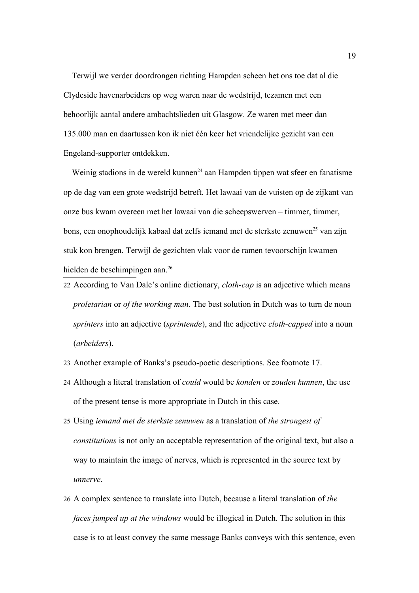Terwijl we verder doordrongen richting Hampden scheen het ons toe dat al die Clydeside havenarbeiders op weg waren naar de wedstrijd, tezamen met een behoorlijk aantal andere ambachtslieden uit Glasgow. Ze waren met meer dan 135.000 man en daartussen kon ik niet één keer het vriendelijke gezicht van een Engeland-supporter ontdekken.

Weinig stadions in de wereld kunnen<sup>[24](#page-18-2)</sup> aan Hampden tippen wat sfeer en fanatisme op de dag van een grote wedstrijd betreft. Het lawaai van de vuisten op de zijkant van onze bus kwam overeen met het lawaai van die scheepswerven – timmer, timmer, bons, een onophoudelijk kabaal dat zelfs iemand met de sterkste zenuwen<sup>[25](#page-18-3)</sup> van zijn stuk kon brengen. Terwijl de gezichten vlak voor de ramen tevoorschijn kwamen hielden de beschimpingen aan.<sup>[26](#page-18-4)</sup>

- <span id="page-18-0"></span>22 According to Van Dale's online dictionary, *cloth-cap* is an adjective which means *proletarian* or *of the working man*. The best solution in Dutch was to turn de noun *sprinters* into an adjective (*sprintende*), and the adjective *cloth-capped* into a noun (*arbeiders*).
- <span id="page-18-1"></span>23 Another example of Banks's pseudo-poetic descriptions. See footnote 17.
- <span id="page-18-2"></span>24 Although a literal translation of *could* would be *konden* or *zouden kunnen*, the use of the present tense is more appropriate in Dutch in this case.
- <span id="page-18-3"></span>25 Using *iemand met de sterkste zenuwen* as a translation of *the strongest of constitutions* is not only an acceptable representation of the original text, but also a way to maintain the image of nerves, which is represented in the source text by *unnerve*.
- <span id="page-18-4"></span>26 A complex sentence to translate into Dutch, because a literal translation of *the faces jumped up at the windows* would be illogical in Dutch. The solution in this case is to at least convey the same message Banks conveys with this sentence, even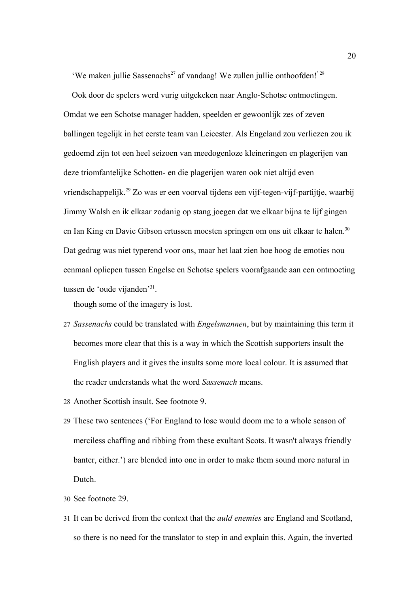'We maken jullie Sassenachs<sup>[27](#page-19-0)</sup> af vandaag! We zullen jullie onthoofden!<sup>' [28](#page-19-1)</sup>

 Ook door de spelers werd vurig uitgekeken naar Anglo-Schotse ontmoetingen. Omdat we een Schotse manager hadden, speelden er gewoonlijk zes of zeven ballingen tegelijk in het eerste team van Leicester. Als Engeland zou verliezen zou ik gedoemd zijn tot een heel seizoen van meedogenloze kleineringen en plagerijen van deze triomfantelijke Schotten- en die plagerijen waren ook niet altijd even vriendschappelijk.[29](#page-19-2) Zo was er een voorval tijdens een vijf-tegen-vijf-partijtje, waarbij Jimmy Walsh en ik elkaar zodanig op stang joegen dat we elkaar bijna te lijf gingen en Ian King en Davie Gibson ertussen moesten springen om ons uit elkaar te halen.<sup>[30](#page-19-3)</sup> Dat gedrag was niet typerend voor ons, maar het laat zien hoe hoog de emoties nou eenmaal opliepen tussen Engelse en Schotse spelers voorafgaande aan een ontmoeting tussen de 'oude vijanden'<sup>[31](#page-19-4)</sup>.

though some of the imagery is lost.

- <span id="page-19-0"></span>27 *Sassenachs* could be translated with *Engelsmannen*, but by maintaining this term it becomes more clear that this is a way in which the Scottish supporters insult the English players and it gives the insults some more local colour. It is assumed that the reader understands what the word *Sassenach* means.
- <span id="page-19-1"></span>28 Another Scottish insult. See footnote 9.
- <span id="page-19-2"></span>29 These two sentences ('For England to lose would doom me to a whole season of merciless chaffing and ribbing from these exultant Scots. It wasn't always friendly banter, either.') are blended into one in order to make them sound more natural in Dutch.
- <span id="page-19-3"></span>30 See footnote 29.
- <span id="page-19-4"></span>31 It can be derived from the context that the *auld enemies* are England and Scotland, so there is no need for the translator to step in and explain this. Again, the inverted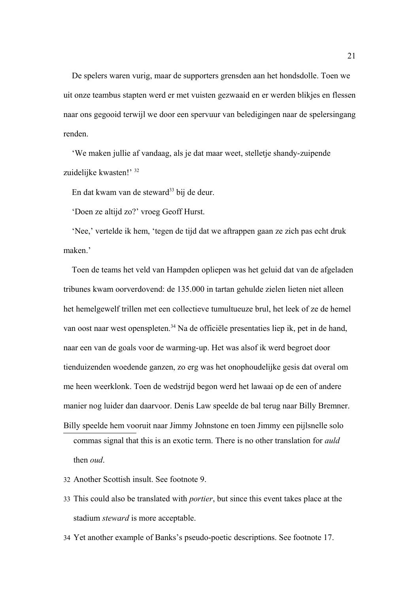De spelers waren vurig, maar de supporters grensden aan het hondsdolle. Toen we uit onze teambus stapten werd er met vuisten gezwaaid en er werden blikjes en flessen naar ons gegooid terwijl we door een spervuur van beledigingen naar de spelersingang renden.

 'We maken jullie af vandaag, als je dat maar weet, stelletje shandy-zuipende zuidelijke kwasten!' [32](#page-20-0)

En dat kwam van de steward<sup>[33](#page-20-1)</sup> bij de deur.

'Doen ze altijd zo?' vroeg Geoff Hurst.

 'Nee,' vertelde ik hem, 'tegen de tijd dat we aftrappen gaan ze zich pas echt druk maken.'

 Toen de teams het veld van Hampden opliepen was het geluid dat van de afgeladen tribunes kwam oorverdovend: de 135.000 in tartan gehulde zielen lieten niet alleen het hemelgewelf trillen met een collectieve tumultueuze brul, het leek of ze de hemel van oost naar west openspleten.<sup>[34](#page-20-2)</sup> Na de officiële presentaties liep ik, pet in de hand, naar een van de goals voor de warming-up. Het was alsof ik werd begroet door tienduizenden woedende ganzen, zo erg was het onophoudelijke gesis dat overal om me heen weerklonk. Toen de wedstrijd begon werd het lawaai op de een of andere manier nog luider dan daarvoor. Denis Law speelde de bal terug naar Billy Bremner. Billy speelde hem vooruit naar Jimmy Johnstone en toen Jimmy een pijlsnelle solo commas signal that this is an exotic term. There is no other translation for *auld*

then *oud*.

- <span id="page-20-0"></span>32 Another Scottish insult. See footnote 9.
- <span id="page-20-1"></span>33 This could also be translated with *portier*, but since this event takes place at the stadium *steward* is more acceptable.
- <span id="page-20-2"></span>34 Yet another example of Banks's pseudo-poetic descriptions. See footnote 17.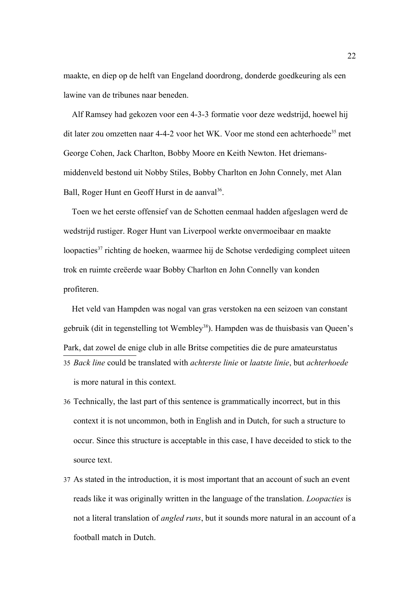maakte, en diep op de helft van Engeland doordrong, donderde goedkeuring als een lawine van de tribunes naar beneden.

 Alf Ramsey had gekozen voor een 4-3-3 formatie voor deze wedstrijd, hoewel hij dit later zou omzetten naar 4-4-2 voor het WK. Voor me stond een achterhoede<sup>[35](#page-21-0)</sup> met George Cohen, Jack Charlton, Bobby Moore en Keith Newton. Het driemansmiddenveld bestond uit Nobby Stiles, Bobby Charlton en John Connely, met Alan Ball, Roger Hunt en Geoff Hurst in de aanval<sup>[36](#page-21-1)</sup>.

 Toen we het eerste offensief van de Schotten eenmaal hadden afgeslagen werd de wedstrijd rustiger. Roger Hunt van Liverpool werkte onvermoeibaar en maakte loopacties<sup>[37](#page-21-2)</sup> richting de hoeken, waarmee hij de Schotse verdediging compleet uiteen trok en ruimte creëerde waar Bobby Charlton en John Connelly van konden profiteren.

 Het veld van Hampden was nogal van gras verstoken na een seizoen van constant gebruik (dit in tegenstelling tot Wembley<sup>[38](#page-22-0)</sup>). Hampden was de thuisbasis van Queen's Park, dat zowel de enige club in alle Britse competities die de pure amateurstatus 35 *Back line* could be translated with *achterste linie* or *laatste linie*, but *achterhoede* is more natural in this context.

- <span id="page-21-1"></span><span id="page-21-0"></span>36 Technically, the last part of this sentence is grammatically incorrect, but in this context it is not uncommon, both in English and in Dutch, for such a structure to occur. Since this structure is acceptable in this case, I have deceided to stick to the source text.
- <span id="page-21-2"></span>37 As stated in the introduction, it is most important that an account of such an event reads like it was originally written in the language of the translation. *Loopacties* is not a literal translation of *angled runs*, but it sounds more natural in an account of a football match in Dutch.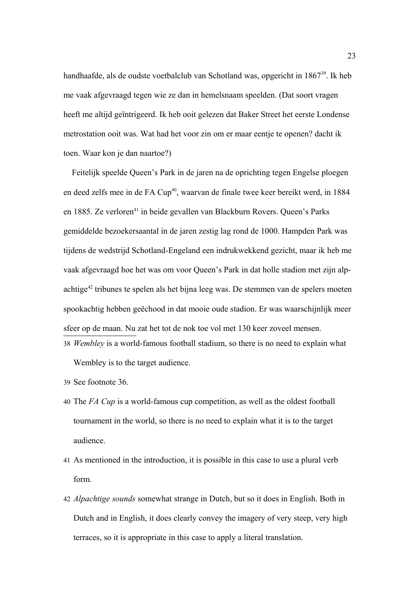handhaafde, als de oudste voetbalclub van Schotland was, opgericht in 1867<sup>[39](#page-22-1)</sup>. Ik heb me vaak afgevraagd tegen wie ze dan in hemelsnaam speelden. (Dat soort vragen heeft me altijd geïntrigeerd. Ik heb ooit gelezen dat Baker Street het eerste Londense metrostation ooit was. Wat had het voor zin om er maar eentje te openen? dacht ik toen. Waar kon je dan naartoe?)

 Feitelijk speelde Queen's Park in de jaren na de oprichting tegen Engelse ploegen en deed zelfs mee in de FA Cup<sup>[40](#page-22-2)</sup>, waarvan de finale twee keer bereikt werd, in 1884 en 1885. Ze verloren<sup>[41](#page-22-3)</sup> in beide gevallen van Blackburn Rovers. Queen's Parks gemiddelde bezoekersaantal in de jaren zestig lag rond de 1000. Hampden Park was tijdens de wedstrijd Schotland-Engeland een indrukwekkend gezicht, maar ik heb me vaak afgevraagd hoe het was om voor Queen's Park in dat holle stadion met zijn alpachtige[42](#page-22-4) tribunes te spelen als het bijna leeg was. De stemmen van de spelers moeten spookachtig hebben geëchood in dat mooie oude stadion. Er was waarschijnlijk meer sfeer op de maan. Nu zat het tot de nok toe vol met 130 keer zoveel mensen. 38 *Wembley* is a world-famous football stadium, so there is no need to explain what

<span id="page-22-0"></span>Wembley is to the target audience.

<span id="page-22-1"></span>39 See footnote 36.

- <span id="page-22-2"></span>40 The *FA Cup* is a world-famous cup competition, as well as the oldest football tournament in the world, so there is no need to explain what it is to the target audience.
- <span id="page-22-3"></span>41 As mentioned in the introduction, it is possible in this case to use a plural verb form.
- <span id="page-22-4"></span>42 *Alpachtige sounds* somewhat strange in Dutch, but so it does in English. Both in Dutch and in English, it does clearly convey the imagery of very steep, very high terraces, so it is appropriate in this case to apply a literal translation.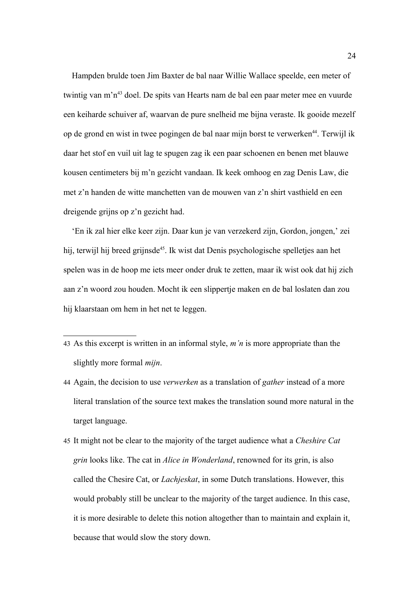Hampden brulde toen Jim Baxter de bal naar Willie Wallace speelde, een meter of twintig van m'n[43](#page-23-0) doel. De spits van Hearts nam de bal een paar meter mee en vuurde een keiharde schuiver af, waarvan de pure snelheid me bijna veraste. Ik gooide mezelf op de grond en wist in twee pogingen de bal naar mijn borst te verwerken<sup>[44](#page-23-1)</sup>. Terwijl ik daar het stof en vuil uit lag te spugen zag ik een paar schoenen en benen met blauwe kousen centimeters bij m'n gezicht vandaan. Ik keek omhoog en zag Denis Law, die met z'n handen de witte manchetten van de mouwen van z'n shirt vasthield en een dreigende grijns op z'n gezicht had.

 'En ik zal hier elke keer zijn. Daar kun je van verzekerd zijn, Gordon, jongen,' zei hij, terwijl hij breed grijnsde<sup>[45](#page-23-2)</sup>. Ik wist dat Denis psychologische spelletjes aan het spelen was in de hoop me iets meer onder druk te zetten, maar ik wist ook dat hij zich aan z'n woord zou houden. Mocht ik een slippertje maken en de bal loslaten dan zou hij klaarstaan om hem in het net te leggen.

- <span id="page-23-0"></span>43 As this excerpt is written in an informal style, *m'n* is more appropriate than the slightly more formal *mijn*.
- <span id="page-23-1"></span>44 Again, the decision to use *verwerken* as a translation of *gather* instead of a more literal translation of the source text makes the translation sound more natural in the target language.
- <span id="page-23-2"></span>45 It might not be clear to the majority of the target audience what a *Cheshire Cat grin* looks like. The cat in *Alice in Wonderland*, renowned for its grin, is also called the Chesire Cat, or *Lachjeskat*, in some Dutch translations. However, this would probably still be unclear to the majority of the target audience. In this case, it is more desirable to delete this notion altogether than to maintain and explain it, because that would slow the story down.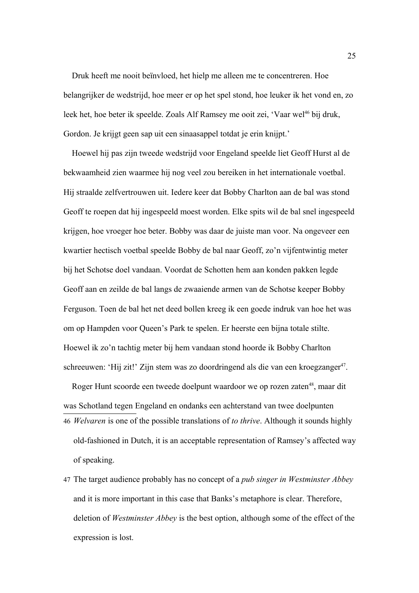Druk heeft me nooit beïnvloed, het hielp me alleen me te concentreren. Hoe belangrijker de wedstrijd, hoe meer er op het spel stond, hoe leuker ik het vond en, zo leek het, hoe beter ik speelde. Zoals Alf Ramsey me ooit zei, 'Vaar wel<sup>[46](#page-24-0)</sup> bij druk, Gordon. Je krijgt geen sap uit een sinaasappel totdat je erin knijpt.'

 Hoewel hij pas zijn tweede wedstrijd voor Engeland speelde liet Geoff Hurst al de bekwaamheid zien waarmee hij nog veel zou bereiken in het internationale voetbal. Hij straalde zelfvertrouwen uit. Iedere keer dat Bobby Charlton aan de bal was stond Geoff te roepen dat hij ingespeeld moest worden. Elke spits wil de bal snel ingespeeld krijgen, hoe vroeger hoe beter. Bobby was daar de juiste man voor. Na ongeveer een kwartier hectisch voetbal speelde Bobby de bal naar Geoff, zo'n vijfentwintig meter bij het Schotse doel vandaan. Voordat de Schotten hem aan konden pakken legde Geoff aan en zeilde de bal langs de zwaaiende armen van de Schotse keeper Bobby Ferguson. Toen de bal het net deed bollen kreeg ik een goede indruk van hoe het was om op Hampden voor Queen's Park te spelen. Er heerste een bijna totale stilte. Hoewel ik zo'n tachtig meter bij hem vandaan stond hoorde ik Bobby Charlton schreeuwen: 'Hij zit!' Zijn stem was zo doordringend als die van een kroegzanger<sup>[47](#page-24-1)</sup>.

<span id="page-24-0"></span>Roger Hunt scoorde een tweede doelpunt waardoor we op rozen zaten<sup>[48](#page-25-0)</sup>, maar dit was Schotland tegen Engeland en ondanks een achterstand van twee doelpunten 46 *Welvaren* is one of the possible translations of *to thrive*. Although it sounds highly old-fashioned in Dutch, it is an acceptable representation of Ramsey's affected way of speaking.

<span id="page-24-1"></span>47 The target audience probably has no concept of a *pub singer in Westminster Abbey* and it is more important in this case that Banks's metaphore is clear. Therefore, deletion of *Westminster Abbey* is the best option, although some of the effect of the expression is lost.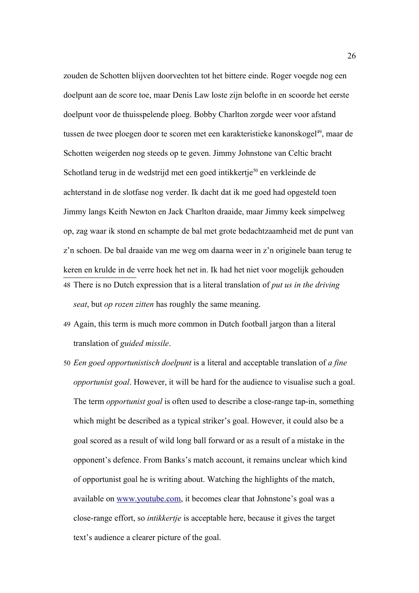zouden de Schotten blijven doorvechten tot het bittere einde. Roger voegde nog een doelpunt aan de score toe, maar Denis Law loste zijn belofte in en scoorde het eerste doelpunt voor de thuisspelende ploeg. Bobby Charlton zorgde weer voor afstand tussen de twee ploegen door te scoren met een karakteristieke kanonskogel<sup>[49](#page-25-1)</sup>, maar de Schotten weigerden nog steeds op te geven. Jimmy Johnstone van Celtic bracht Schotland terug in de wedstrijd met een goed intikkertje<sup>[50](#page-25-2)</sup> en verkleinde de achterstand in de slotfase nog verder. Ik dacht dat ik me goed had opgesteld toen Jimmy langs Keith Newton en Jack Charlton draaide, maar Jimmy keek simpelweg op, zag waar ik stond en schampte de bal met grote bedachtzaamheid met de punt van z'n schoen. De bal draaide van me weg om daarna weer in z'n originele baan terug te keren en krulde in de verre hoek het net in. Ik had het niet voor mogelijk gehouden 48 There is no Dutch expression that is a literal translation of *put us in the driving seat*, but *op rozen zitten* has roughly the same meaning.

- <span id="page-25-1"></span><span id="page-25-0"></span>49 Again, this term is much more common in Dutch football jargon than a literal translation of *guided missile*.
- <span id="page-25-2"></span>50 *Een goed opportunistisch doelpunt* is a literal and acceptable translation of *a fine opportunist goal*. However, it will be hard for the audience to visualise such a goal. The term *opportunist goal* is often used to describe a close-range tap-in, something which might be described as a typical striker's goal. However, it could also be a goal scored as a result of wild long ball forward or as a result of a mistake in the opponent's defence. From Banks's match account, it remains unclear which kind of opportunist goal he is writing about. Watching the highlights of the match, available on [www.youtube.com,](http://www.youtube.com/) it becomes clear that Johnstone's goal was a close-range effort, so *intikkertje* is acceptable here, because it gives the target text's audience a clearer picture of the goal.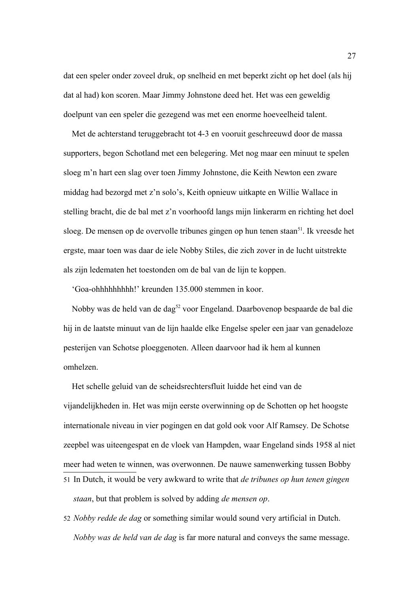dat een speler onder zoveel druk, op snelheid en met beperkt zicht op het doel (als hij dat al had) kon scoren. Maar Jimmy Johnstone deed het. Het was een geweldig doelpunt van een speler die gezegend was met een enorme hoeveelheid talent.

 Met de achterstand teruggebracht tot 4-3 en vooruit geschreeuwd door de massa supporters, begon Schotland met een belegering. Met nog maar een minuut te spelen sloeg m'n hart een slag over toen Jimmy Johnstone, die Keith Newton een zware middag had bezorgd met z'n solo's, Keith opnieuw uitkapte en Willie Wallace in stelling bracht, die de bal met z'n voorhoofd langs mijn linkerarm en richting het doel sloeg. De mensen op de overvolle tribunes gingen op hun tenen staan<sup>[51](#page-26-0)</sup>. Ik vreesde het ergste, maar toen was daar de iele Nobby Stiles, die zich zover in de lucht uitstrekte als zijn ledematen het toestonden om de bal van de lijn te koppen.

'Goa-ohhhhhhhhh!' kreunden 135.000 stemmen in koor.

 Nobby was de held van de dag[52](#page-26-1) voor Engeland. Daarbovenop bespaarde de bal die hij in de laatste minuut van de lijn haalde elke Engelse speler een jaar van genadeloze pesterijen van Schotse ploeggenoten. Alleen daarvoor had ik hem al kunnen omhelzen.

 Het schelle geluid van de scheidsrechtersfluit luidde het eind van de vijandelijkheden in. Het was mijn eerste overwinning op de Schotten op het hoogste internationale niveau in vier pogingen en dat gold ook voor Alf Ramsey. De Schotse zeepbel was uiteengespat en de vloek van Hampden, waar Engeland sinds 1958 al niet meer had weten te winnen, was overwonnen. De nauwe samenwerking tussen Bobby 51 In Dutch, it would be very awkward to write that *de tribunes op hun tenen gingen staan*, but that problem is solved by adding *de mensen op*.

<span id="page-26-1"></span><span id="page-26-0"></span>52 *Nobby redde de dag* or something similar would sound very artificial in Dutch. *Nobby was de held van de dag* is far more natural and conveys the same message.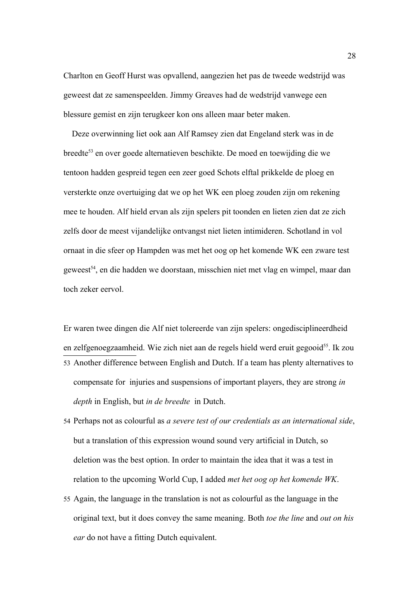Charlton en Geoff Hurst was opvallend, aangezien het pas de tweede wedstrijd was geweest dat ze samenspeelden. Jimmy Greaves had de wedstrijd vanwege een blessure gemist en zijn terugkeer kon ons alleen maar beter maken.

 Deze overwinning liet ook aan Alf Ramsey zien dat Engeland sterk was in de breedte[53](#page-27-0) en over goede alternatieven beschikte. De moed en toewijding die we tentoon hadden gespreid tegen een zeer goed Schots elftal prikkelde de ploeg en versterkte onze overtuiging dat we op het WK een ploeg zouden zijn om rekening mee te houden. Alf hield ervan als zijn spelers pit toonden en lieten zien dat ze zich zelfs door de meest vijandelijke ontvangst niet lieten intimideren. Schotland in vol ornaat in die sfeer op Hampden was met het oog op het komende WK een zware test geweest<sup>[54](#page-27-1)</sup>, en die hadden we doorstaan, misschien niet met vlag en wimpel, maar dan toch zeker eervol.

<span id="page-27-0"></span>Er waren twee dingen die Alf niet tolereerde van zijn spelers: ongedisciplineerdheid en zelfgenoegzaamheid. Wie zich niet aan de regels hield werd eruit gegooid<sup>[55](#page-27-2)</sup>. Ik zou 53 Another difference between English and Dutch. If a team has plenty alternatives to compensate for injuries and suspensions of important players, they are strong *in depth* in English, but *in de breedte* in Dutch.

- <span id="page-27-1"></span>54 Perhaps not as colourful as *a severe test of our credentials as an international side*, but a translation of this expression wound sound very artificial in Dutch, so deletion was the best option. In order to maintain the idea that it was a test in relation to the upcoming World Cup, I added *met het oog op het komende WK*.
- <span id="page-27-2"></span>55 Again, the language in the translation is not as colourful as the language in the original text, but it does convey the same meaning. Both *toe the line* and *out on his ear* do not have a fitting Dutch equivalent.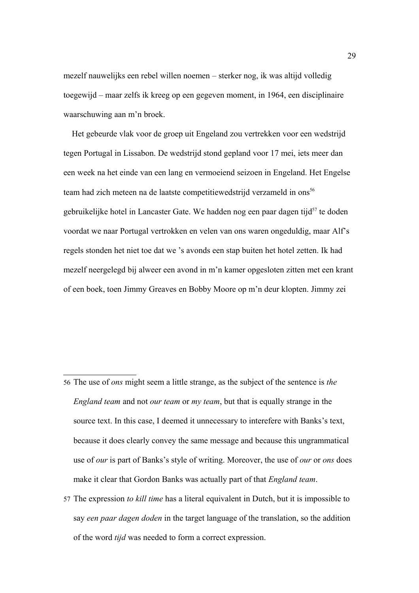mezelf nauwelijks een rebel willen noemen – sterker nog, ik was altijd volledig toegewijd – maar zelfs ik kreeg op een gegeven moment, in 1964, een disciplinaire waarschuwing aan m'n broek.

 Het gebeurde vlak voor de groep uit Engeland zou vertrekken voor een wedstrijd tegen Portugal in Lissabon. De wedstrijd stond gepland voor 17 mei, iets meer dan een week na het einde van een lang en vermoeiend seizoen in Engeland. Het Engelse team had zich meteen na de laatste competitiewedstrijd verzameld in ons<sup>[56](#page-28-0)</sup> gebruikelijke hotel in Lancaster Gate. We hadden nog een paar dagen tijd<sup>[57](#page-28-1)</sup> te doden voordat we naar Portugal vertrokken en velen van ons waren ongeduldig, maar Alf's regels stonden het niet toe dat we 's avonds een stap buiten het hotel zetten. Ik had mezelf neergelegd bij alweer een avond in m'n kamer opgesloten zitten met een krant of een boek, toen Jimmy Greaves en Bobby Moore op m'n deur klopten. Jimmy zei

- <span id="page-28-0"></span>56 The use of *ons* might seem a little strange, as the subject of the sentence is *the England team* and not *our team* or *my team*, but that is equally strange in the source text. In this case, I deemed it unnecessary to interefere with Banks's text, because it does clearly convey the same message and because this ungrammatical use of *our* is part of Banks's style of writing. Moreover, the use of *our* or *ons* does make it clear that Gordon Banks was actually part of that *England team*.
- <span id="page-28-1"></span>57 The expression *to kill time* has a literal equivalent in Dutch, but it is impossible to say *een paar dagen doden* in the target language of the translation, so the addition of the word *tijd* was needed to form a correct expression.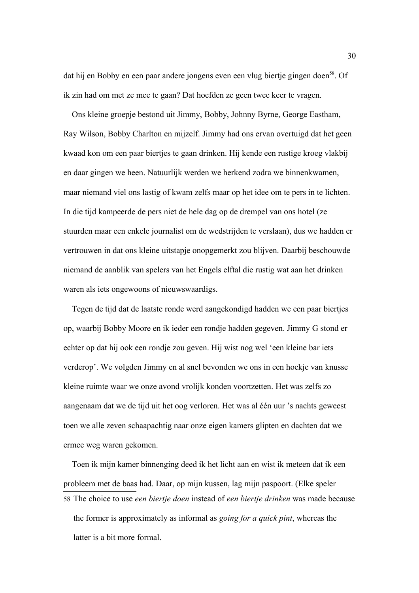dat hij en Bobby en een paar andere jongens even een vlug biertje gingen doen<sup>[58](#page-29-0)</sup>. Of ik zin had om met ze mee te gaan? Dat hoefden ze geen twee keer te vragen.

 Ons kleine groepje bestond uit Jimmy, Bobby, Johnny Byrne, George Eastham, Ray Wilson, Bobby Charlton en mijzelf. Jimmy had ons ervan overtuigd dat het geen kwaad kon om een paar biertjes te gaan drinken. Hij kende een rustige kroeg vlakbij en daar gingen we heen. Natuurlijk werden we herkend zodra we binnenkwamen, maar niemand viel ons lastig of kwam zelfs maar op het idee om te pers in te lichten. In die tijd kampeerde de pers niet de hele dag op de drempel van ons hotel (ze stuurden maar een enkele journalist om de wedstrijden te verslaan), dus we hadden er vertrouwen in dat ons kleine uitstapje onopgemerkt zou blijven. Daarbij beschouwde niemand de aanblik van spelers van het Engels elftal die rustig wat aan het drinken waren als iets ongewoons of nieuwswaardigs.

 Tegen de tijd dat de laatste ronde werd aangekondigd hadden we een paar biertjes op, waarbij Bobby Moore en ik ieder een rondje hadden gegeven. Jimmy G stond er echter op dat hij ook een rondje zou geven. Hij wist nog wel 'een kleine bar iets verderop'. We volgden Jimmy en al snel bevonden we ons in een hoekje van knusse kleine ruimte waar we onze avond vrolijk konden voortzetten. Het was zelfs zo aangenaam dat we de tijd uit het oog verloren. Het was al één uur 's nachts geweest toen we alle zeven schaapachtig naar onze eigen kamers glipten en dachten dat we ermee weg waren gekomen.

<span id="page-29-0"></span> Toen ik mijn kamer binnenging deed ik het licht aan en wist ik meteen dat ik een probleem met de baas had. Daar, op mijn kussen, lag mijn paspoort. (Elke speler 58 The choice to use *een biertje doen* instead of *een biertje drinken* was made because the former is approximately as informal as *going for a quick pint*, whereas the latter is a bit more formal.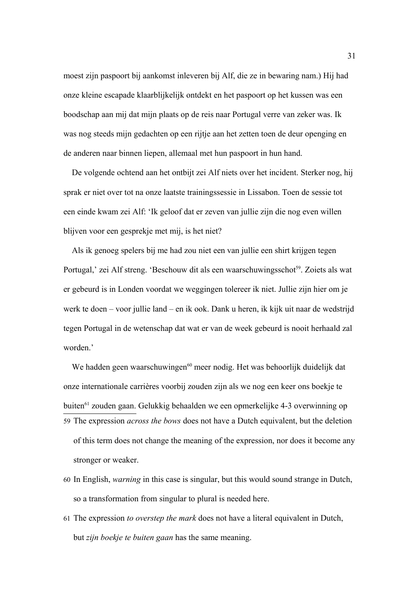moest zijn paspoort bij aankomst inleveren bij Alf, die ze in bewaring nam.) Hij had onze kleine escapade klaarblijkelijk ontdekt en het paspoort op het kussen was een boodschap aan mij dat mijn plaats op de reis naar Portugal verre van zeker was. Ik was nog steeds mijn gedachten op een rijtje aan het zetten toen de deur openging en de anderen naar binnen liepen, allemaal met hun paspoort in hun hand.

 De volgende ochtend aan het ontbijt zei Alf niets over het incident. Sterker nog, hij sprak er niet over tot na onze laatste trainingssessie in Lissabon. Toen de sessie tot een einde kwam zei Alf: 'Ik geloof dat er zeven van jullie zijn die nog even willen blijven voor een gesprekje met mij, is het niet?

 Als ik genoeg spelers bij me had zou niet een van jullie een shirt krijgen tegen Portugal,' zei Alf streng. 'Beschouw dit als een waarschuwingsschot<sup>[59](#page-30-0)</sup>. Zoiets als wat er gebeurd is in Londen voordat we weggingen tolereer ik niet. Jullie zijn hier om je werk te doen – voor jullie land – en ik ook. Dank u heren, ik kijk uit naar de wedstrijd tegen Portugal in de wetenschap dat wat er van de week gebeurd is nooit herhaald zal worden.'

We hadden geen waarschuwingen<sup>[60](#page-30-1)</sup> meer nodig. Het was behoorlijk duidelijk dat onze internationale carrières voorbij zouden zijn als we nog een keer ons boekje te buiten[61](#page-30-2) zouden gaan. Gelukkig behaalden we een opmerkelijke 4-3 overwinning op 59 The expression *across the bows* does not have a Dutch equivalent, but the deletion of this term does not change the meaning of the expression, nor does it become any

<span id="page-30-0"></span>stronger or weaker.

- <span id="page-30-1"></span>60 In English, *warning* in this case is singular, but this would sound strange in Dutch, so a transformation from singular to plural is needed here.
- <span id="page-30-2"></span>61 The expression *to overstep the mark* does not have a literal equivalent in Dutch, but *zijn boekje te buiten gaan* has the same meaning.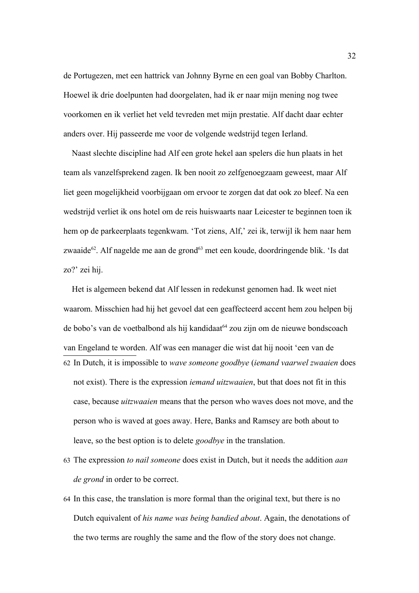de Portugezen, met een hattrick van Johnny Byrne en een goal van Bobby Charlton. Hoewel ik drie doelpunten had doorgelaten, had ik er naar mijn mening nog twee voorkomen en ik verliet het veld tevreden met mijn prestatie. Alf dacht daar echter anders over. Hij passeerde me voor de volgende wedstrijd tegen Ierland.

 Naast slechte discipline had Alf een grote hekel aan spelers die hun plaats in het team als vanzelfsprekend zagen. Ik ben nooit zo zelfgenoegzaam geweest, maar Alf liet geen mogelijkheid voorbijgaan om ervoor te zorgen dat dat ook zo bleef. Na een wedstrijd verliet ik ons hotel om de reis huiswaarts naar Leicester te beginnen toen ik hem op de parkeerplaats tegenkwam. 'Tot ziens, Alf,' zei ik, terwijl ik hem naar hem zwaaide<sup>[62](#page-31-0)</sup>. Alf nagelde me aan de grond<sup>[63](#page-31-1)</sup> met een koude, doordringende blik. 'Is dat zo?' zei hij.

<span id="page-31-0"></span> Het is algemeen bekend dat Alf lessen in redekunst genomen had. Ik weet niet waarom. Misschien had hij het gevoel dat een geaffecteerd accent hem zou helpen bij de bobo's van de voetbalbond als hij kandidaat<sup>[64](#page-31-2)</sup> zou zijn om de nieuwe bondscoach van Engeland te worden. Alf was een manager die wist dat hij nooit 'een van de 62 In Dutch, it is impossible to *wave someone goodbye* (*iemand vaarwel zwaaien* does not exist). There is the expression *iemand uitzwaaien*, but that does not fit in this case, because *uitzwaaien* means that the person who waves does not move, and the person who is waved at goes away. Here, Banks and Ramsey are both about to leave, so the best option is to delete *goodbye* in the translation.

- <span id="page-31-1"></span>63 The expression *to nail someone* does exist in Dutch, but it needs the addition *aan de grond* in order to be correct.
- <span id="page-31-2"></span>64 In this case, the translation is more formal than the original text, but there is no Dutch equivalent of *his name was being bandied about*. Again, the denotations of the two terms are roughly the same and the flow of the story does not change.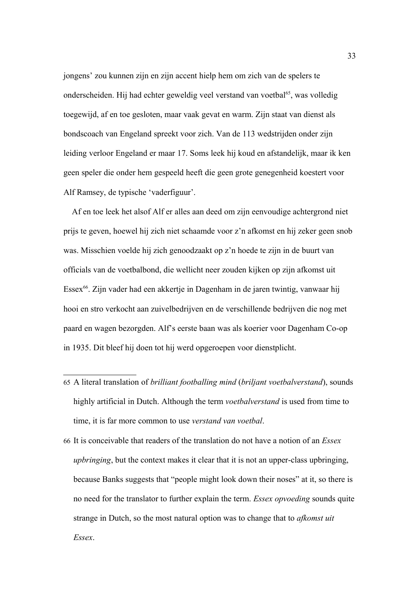jongens' zou kunnen zijn en zijn accent hielp hem om zich van de spelers te onderscheiden. Hij had echter geweldig veel verstand van voetbal<sup>[65](#page-32-0)</sup>, was volledig toegewijd, af en toe gesloten, maar vaak gevat en warm. Zijn staat van dienst als bondscoach van Engeland spreekt voor zich. Van de 113 wedstrijden onder zijn leiding verloor Engeland er maar 17. Soms leek hij koud en afstandelijk, maar ik ken geen speler die onder hem gespeeld heeft die geen grote genegenheid koestert voor Alf Ramsey, de typische 'vaderfiguur'.

 Af en toe leek het alsof Alf er alles aan deed om zijn eenvoudige achtergrond niet prijs te geven, hoewel hij zich niet schaamde voor z'n afkomst en hij zeker geen snob was. Misschien voelde hij zich genoodzaakt op z'n hoede te zijn in de buurt van officials van de voetbalbond, die wellicht neer zouden kijken op zijn afkomst uit Essex<sup>[66](#page-32-1)</sup>. Zijn vader had een akkertje in Dagenham in de jaren twintig, vanwaar hij hooi en stro verkocht aan zuivelbedrijven en de verschillende bedrijven die nog met paard en wagen bezorgden. Alf's eerste baan was als koerier voor Dagenham Co-op in 1935. Dit bleef hij doen tot hij werd opgeroepen voor dienstplicht.

- <span id="page-32-0"></span>65 A literal translation of *brilliant footballing mind* (*briljant voetbalverstand*), sounds highly artificial in Dutch. Although the term *voetbalverstand* is used from time to time, it is far more common to use *verstand van voetbal*.
- <span id="page-32-1"></span>66 It is conceivable that readers of the translation do not have a notion of an *Essex upbringing*, but the context makes it clear that it is not an upper-class upbringing, because Banks suggests that "people might look down their noses" at it, so there is no need for the translator to further explain the term. *Essex opvoeding* sounds quite strange in Dutch, so the most natural option was to change that to *afkomst uit Essex*.

33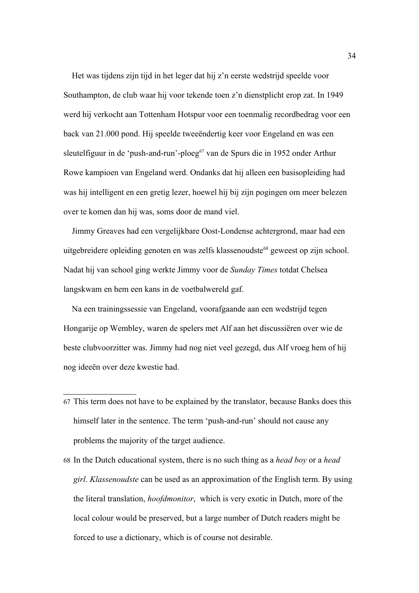Het was tijdens zijn tijd in het leger dat hij z'n eerste wedstrijd speelde voor Southampton, de club waar hij voor tekende toen z'n dienstplicht erop zat. In 1949 werd hij verkocht aan Tottenham Hotspur voor een toenmalig recordbedrag voor een back van 21.000 pond. Hij speelde tweeëndertig keer voor Engeland en was een sleutelfiguur in de 'push-and-run'-ploeg<sup>[67](#page-33-0)</sup> van de Spurs die in 1952 onder Arthur Rowe kampioen van Engeland werd. Ondanks dat hij alleen een basisopleiding had was hij intelligent en een gretig lezer, hoewel hij bij zijn pogingen om meer belezen over te komen dan hij was, soms door de mand viel.

 Jimmy Greaves had een vergelijkbare Oost-Londense achtergrond, maar had een uitgebreidere opleiding genoten en was zelfs klassenoudste<sup>[68](#page-33-1)</sup> geweest op zijn school. Nadat hij van school ging werkte Jimmy voor de *Sunday Times* totdat Chelsea langskwam en hem een kans in de voetbalwereld gaf.

 Na een trainingssessie van Engeland, voorafgaande aan een wedstrijd tegen Hongarije op Wembley, waren de spelers met Alf aan het discussiëren over wie de beste clubvoorzitter was. Jimmy had nog niet veel gezegd, dus Alf vroeg hem of hij nog ideeën over deze kwestie had.

- <span id="page-33-0"></span>67 This term does not have to be explained by the translator, because Banks does this himself later in the sentence. The term 'push-and-run' should not cause any problems the majority of the target audience.
- <span id="page-33-1"></span>68 In the Dutch educational system, there is no such thing as a *head boy* or a *head girl*. *Klassenoudste* can be used as an approximation of the English term. By using the literal translation, *hoofdmonitor*, which is very exotic in Dutch, more of the local colour would be preserved, but a large number of Dutch readers might be forced to use a dictionary, which is of course not desirable.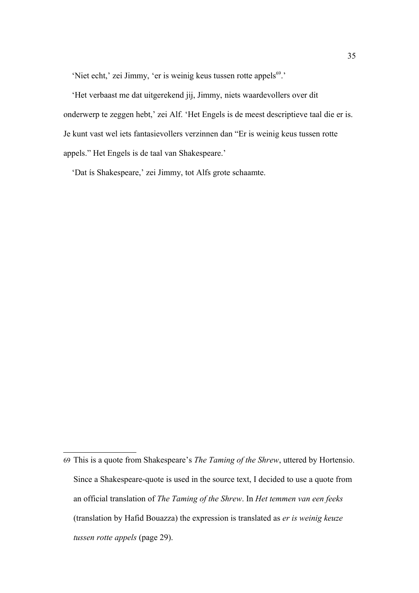'Niet echt,' zei Jimmy, 'er is weinig keus tussen rotte appels<sup>[69](#page-34-0)</sup>.'

 'Het verbaast me dat uitgerekend jij, Jimmy, niets waardevollers over dit onderwerp te zeggen hebt,' zei Alf. 'Het Engels is de meest descriptieve taal die er is. Je kunt vast wel iets fantasievollers verzinnen dan "Er is weinig keus tussen rotte appels." Het Engels is de taal van Shakespeare.'

'Dat ís Shakespeare,' zei Jimmy, tot Alfs grote schaamte.

<span id="page-34-0"></span><sup>69</sup> This is a quote from Shakespeare's *The Taming of the Shrew*, uttered by Hortensio. Since a Shakespeare-quote is used in the source text, I decided to use a quote from an official translation of *The Taming of the Shrew*. In *Het temmen van een feeks* (translation by Hafid Bouazza) the expression is translated as *er is weinig keuze tussen rotte appels* (page 29).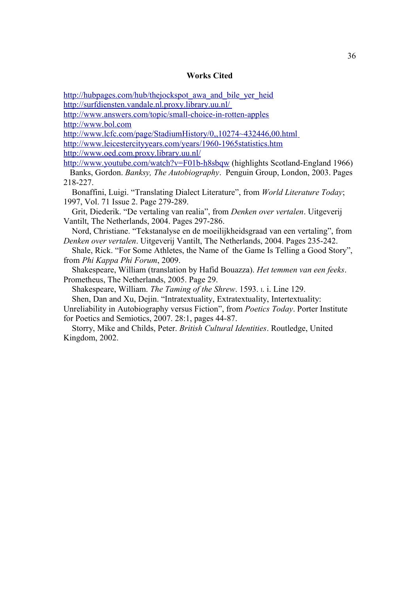#### **Works Cited**

[http://hubpages.com/hub/thejockspot\\_awa\\_and\\_bile\\_yer\\_heid](http://hubpages.com/hub/thejockspot_awa_and_bile_yer_heid)

<http://surfdiensten.vandale.nl.proxy.library.uu.nl/>

<http://www.answers.com/topic/small-choice-in-rotten-apples> [http://www.bol.com](http://www.bol.com/)

<http://www.lcfc.com/page/StadiumHistory/0,,10274~432446,00.html> <http://www.leicestercityyears.com/years/1960-1965statistics.htm>

<http://www.oed.com.proxy.library.uu.nl/>

<http://www.youtube.com/watch?v=F01b-h8sbqw>(highlights Scotland-England 1966) Banks, Gordon. *Banksy, The Autobiography*. Penguin Group, London, 2003. Pages 218-227.

 Bonaffini, Luigi. "Translating Dialect Literature", from *World Literature Today*; 1997, Vol. 71 Issue 2. Page 279-289.

 Grit, Diederik. "De vertaling van realia", from *Denken over vertalen*. Uitgeverij Vantilt, The Netherlands, 2004. Pages 297-286.

 Nord, Christiane. "Tekstanalyse en de moeilijkheidsgraad van een vertaling", from *Denken over vertalen*. Uitgeverij Vantilt, The Netherlands, 2004. Pages 235-242.

 Shale, Rick. "For Some Athletes, the Name of the Game Is Telling a Good Story", from *Phi Kappa Phi Forum*, 2009.

 Shakespeare, William (translation by Hafid Bouazza). *Het temmen van een feeks*. Prometheus, The Netherlands, 2005. Page 29.

Shakespeare, William. *The Taming of the Shrew*. 1593. I. i. Line 129.

Shen, Dan and Xu, Dejin. "Intratextuality, Extratextuality, Intertextuality:

Unreliability in Autobiography versus Fiction", from *Poetics Today*. Porter Institute for Poetics and Semiotics, 2007. 28:1, pages 44-87.

 Storry, Mike and Childs, Peter. *British Cultural Identities*. Routledge, United Kingdom, 2002.